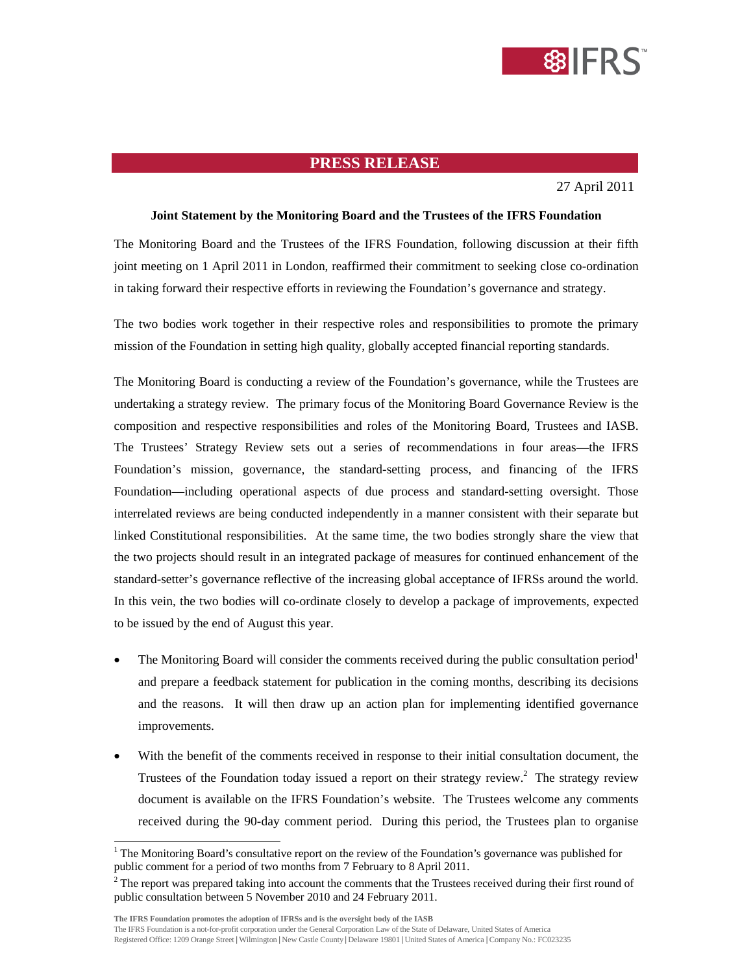

## **PRESS RELEASE**

27 April 2011

## **Joint Statement by the Monitoring Board and the Trustees of the IFRS Foundation**

The Monitoring Board and the Trustees of the IFRS Foundation, following discussion at their fifth joint meeting on 1 April 2011 in London, reaffirmed their commitment to seeking close co-ordination in taking forward their respective efforts in reviewing the Foundation's governance and strategy.

The two bodies work together in their respective roles and responsibilities to promote the primary mission of the Foundation in setting high quality, globally accepted financial reporting standards.

The Monitoring Board is conducting a review of the Foundation's governance, while the Trustees are undertaking a strategy review. The primary focus of the Monitoring Board Governance Review is the composition and respective responsibilities and roles of the Monitoring Board, Trustees and IASB. The Trustees' Strategy Review sets out a series of recommendations in four areas—the IFRS Foundation's mission, governance, the standard-setting process, and financing of the IFRS Foundation—including operational aspects of due process and standard-setting oversight. Those interrelated reviews are being conducted independently in a manner consistent with their separate but linked Constitutional responsibilities. At the same time, the two bodies strongly share the view that the two projects should result in an integrated package of measures for continued enhancement of the standard-setter's governance reflective of the increasing global acceptance of IFRSs around the world. In this vein, the two bodies will co-ordinate closely to develop a package of improvements, expected to be issued by the end of August this year.

- The Monitoring Board will consider the comments received during the public consultation period<sup>1</sup> and prepare a feedback statement for publication in the coming months, describing its decisions and the reasons. It will then draw up an action plan for implementing identified governance improvements.
- With the benefit of the comments received in response to their initial consultation document, the Trustees of the Foundation today issued a report on their strategy review.<sup>2</sup> The strategy review document is available on the IFRS Foundation's website. The Trustees welcome any comments received during the 90-day comment period. During this period, the Trustees plan to organise

 $\overline{a}$ 

<sup>&</sup>lt;sup>1</sup> The Monitoring Board's consultative report on the review of the Foundation's governance was published for public comment for a period of two months from 7 February to 8 April 2011.

 $2^2$  The report was prepared taking into account the comments that the Trustees received during their first round of public consultation between 5 November 2010 and 24 February 2011.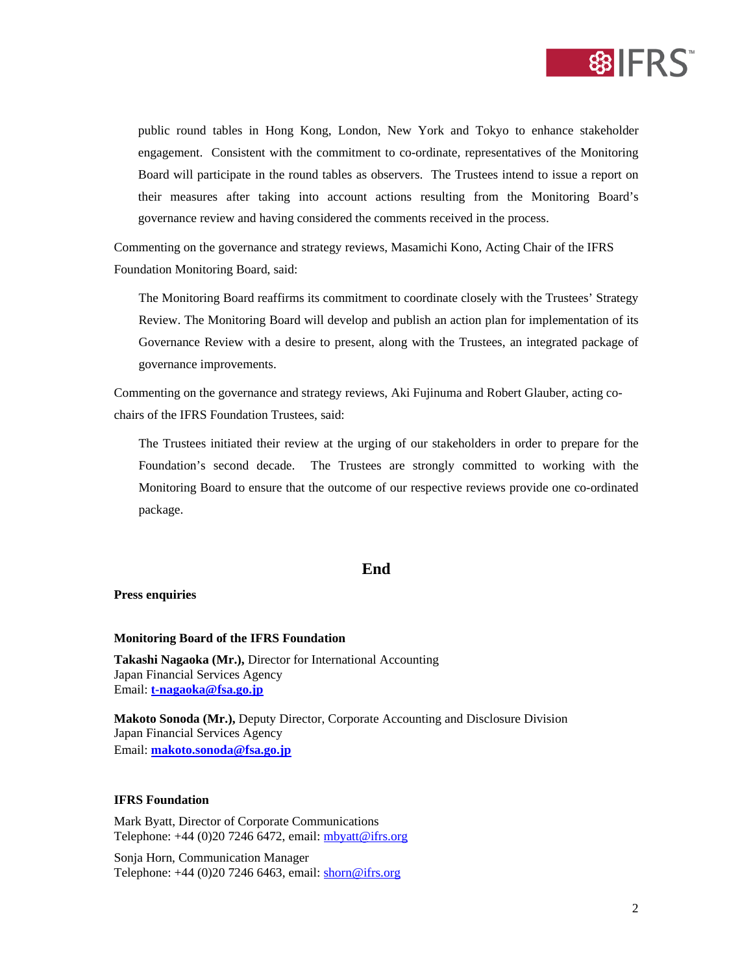

public round tables in Hong Kong, London, New York and Tokyo to enhance stakeholder engagement. Consistent with the commitment to co-ordinate, representatives of the Monitoring Board will participate in the round tables as observers. The Trustees intend to issue a report on their measures after taking into account actions resulting from the Monitoring Board's governance review and having considered the comments received in the process.

Commenting on the governance and strategy reviews, Masamichi Kono, Acting Chair of the IFRS Foundation Monitoring Board, said:

The Monitoring Board reaffirms its commitment to coordinate closely with the Trustees' Strategy Review. The Monitoring Board will develop and publish an action plan for implementation of its Governance Review with a desire to present, along with the Trustees, an integrated package of governance improvements.

Commenting on the governance and strategy reviews, Aki Fujinuma and Robert Glauber, acting cochairs of the IFRS Foundation Trustees, said:

The Trustees initiated their review at the urging of our stakeholders in order to prepare for the Foundation's second decade. The Trustees are strongly committed to working with the Monitoring Board to ensure that the outcome of our respective reviews provide one co-ordinated package.

# **End**

## **Press enquiries**

#### **Monitoring Board of the IFRS Foundation**

**Takashi Nagaoka (Mr.),** Director for International Accounting Japan Financial Services Agency Email: **t-nagaoka@fsa.go.jp**

**Makoto Sonoda (Mr.),** Deputy Director, Corporate Accounting and Disclosure Division Japan Financial Services Agency Email: **makoto.sonoda@fsa.go.jp**

## **IFRS Foundation**

Mark Byatt, Director of Corporate Communications Telephone:  $+44$  (0)20 7246 6472, email:  $m$ byatt@ifrs.org

Sonja Horn, Communication Manager Telephone: +44 (0)20 7246 6463, email: shorn@ifrs.org